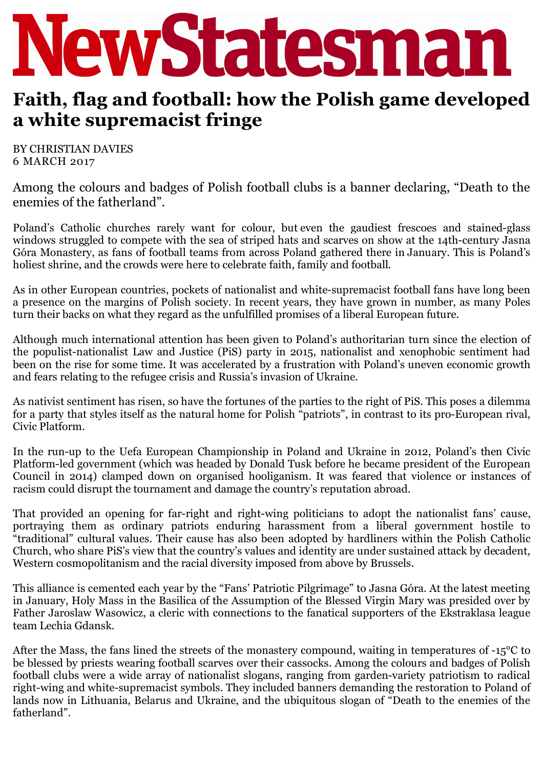

## **Faith, flag and football: how the Polish game developed a white supremacist fringe**

BY CHRISTIAN DAVIES 6 MARCH 2017

Among the colours and badges of Polish football clubs is a banner declaring, "Death to the enemies of the fatherland".

Poland's Catholic churches rarely want for colour, but even the gaudiest frescoes and stained-glass windows struggled to compete with the sea of striped hats and scarves on show at the 14th-century Jasna Góra Monastery, as fans of football teams from across Poland gathered there in January. This is Poland's holiest shrine, and the crowds were here to celebrate faith, family and football.

As in other European countries, pockets of nationalist and white-supremacist football fans have long been a presence on the margins of Polish society. In recent years, they have grown in number, as many Poles turn their backs on what they regard as the unfulfilled promises of a liberal European future.

Although much international attention has been given to Poland's authoritarian turn since the election of the populist-nationalist Law and Justice (PiS) party in 2015, nationalist and xenophobic sentiment had been on the rise for some time. It was accelerated by a frustration with Poland's uneven economic growth and fears relating to the refugee crisis and Russia's invasion of Ukraine.

As nativist sentiment has risen, so have the fortunes of the parties to the right of PiS. This poses a dilemma for a party that styles itself as the natural home for Polish "patriots", in contrast to its pro-European rival, Civic Platform.

In the run-up to the Uefa European Championship in Poland and Ukraine in 2012, Poland's then Civic Platform-led government (which was headed by Donald Tusk before he became president of the European Council in 2014) clamped down on organised hooliganism. It was feared that violence or instances of racism could disrupt the tournament and damage the country's reputation abroad.

That provided an opening for far-right and right-wing politicians to adopt the nationalist fans' cause, portraying them as ordinary patriots enduring harassment from a liberal government hostile to "traditional" cultural values. Their cause has also been adopted by hardliners within the Polish Catholic Church, who share PiS's view that the country's values and identity are under sustained attack by decadent, Western cosmopolitanism and the racial diversity imposed from above by Brussels.

This alliance is cemented each year by the "Fans' Patriotic Pilgrimage" to Jasna Góra. At the latest meeting in January, Holy Mass in the Basilica of the Assumption of the Blessed Virgin Mary was presided over by Father Jaroslaw Wasowicz, a cleric with connections to the fanatical supporters of the Ekstraklasa league team Lechia Gdansk.

After the Mass, the fans lined the streets of the monastery compound, waiting in temperatures of -15<sup>o</sup>C to be blessed by priests wearing football scarves over their cassocks. Among the colours and badges of Polish football clubs were a wide array of nationalist slogans, ranging from garden-variety patriotism to radical right-wing and white-supremacist symbols. They included banners demanding the restoration to Poland of lands now in Lithuania, Belarus and Ukraine, and the ubiquitous slogan of "Death to the enemies of the fatherland".